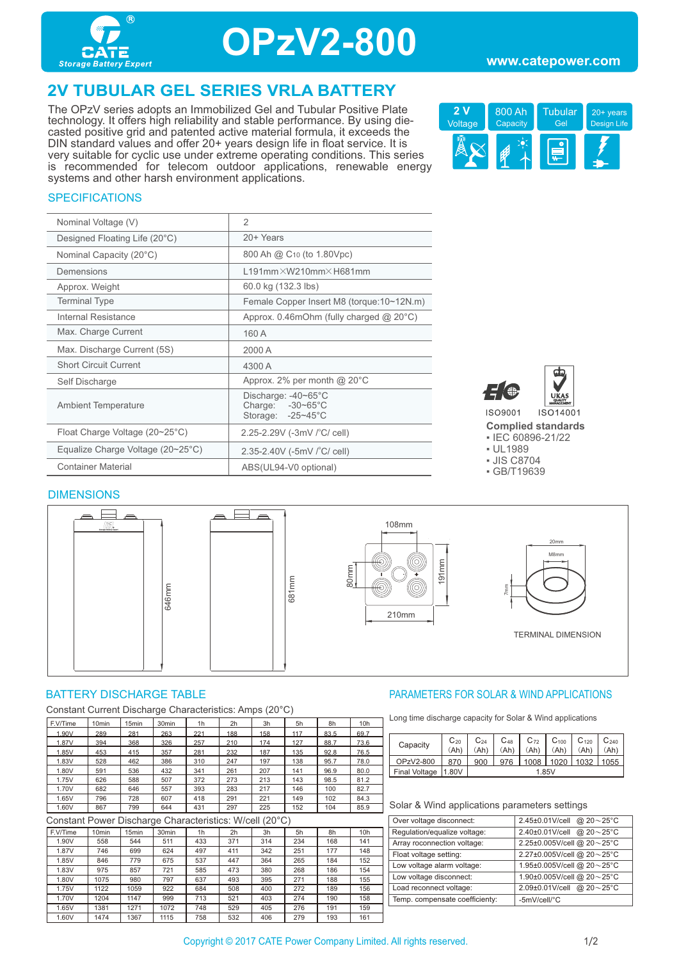

## **OPzV2-800**

## **2V TUBULAR GEL SERIES VRLA BATTERY**

The OPzV series adopts an Immobilized Gel and Tubular Positive Plate technology. It offers high reliability and stable performance. By using diecasted positive grid and patented active material formula, it exceeds the DIN standard values and offer 20+ years design life in float service. It is very suitable for cyclic use under extreme operating conditions. This series is recommended for telecom outdoor applications, renewable energy systems and other harsh environment applications.



### **SPECIFICATIONS**

| Nominal Voltage (V)                     | $\overline{2}$                                               |
|-----------------------------------------|--------------------------------------------------------------|
| Designed Floating Life (20°C)           | 20+ Years                                                    |
| Nominal Capacity (20°C)                 | 800 Ah @ C <sub>10</sub> (to 1.80Vpc)                        |
| Demensions                              | $L191$ mm $\times$ W210mm $\times$ H681mm                    |
| Approx. Weight                          | 60.0 kg (132.3 lbs)                                          |
| <b>Terminal Type</b>                    | Female Copper Insert M8 (torque: 10~12N.m)                   |
| Internal Resistance                     | Approx. $0.46$ mOhm (fully charged $@$ 20 $°C$ )             |
| Max. Charge Current                     | 160 A                                                        |
| Max. Discharge Current (5S)             | 2000 A                                                       |
| <b>Short Circuit Current</b>            | 4300 A                                                       |
| Self Discharge                          | Approx. 2% per month $@$ 20 $°C$                             |
| <b>Ambient Temperature</b>              | Discharge: -40~65°C<br>Charge: -30~65°C<br>Storage: -25~45°C |
| Float Charge Voltage $(20~25^{\circ}C)$ | 2.25-2.29V (-3mV / °C/ cell)                                 |
| Equalize Charge Voltage (20~25°C)       | 2.35-2.40V (-5mV /°C/ cell)                                  |
| <b>Container Material</b>               | ABS(UL94-V0 optional)                                        |





**Complied standards** 

▪ IEC 60896-21/22

- UL1989
- JIS C8704
- GB/T19639

#### DIMENSIONS



Constant Current Discharge Characteristics: Amps (20°C)

| F.V/Time | 10 <sub>min</sub> | 15 <sub>min</sub> | 30 <sub>min</sub> | 1h  | 2h  | 3h  | 5h  | 8h   | 10 <sub>h</sub> |
|----------|-------------------|-------------------|-------------------|-----|-----|-----|-----|------|-----------------|
| 1.90V    | 289               | 281               | 263               | 221 | 188 | 158 | 117 | 83.5 | 69.7            |
| 1.87V    | 394               | 368               | 326               | 257 | 210 | 174 | 127 | 88.7 | 73.6            |
| 1.85V    | 453               | 415               | 357               | 281 | 232 | 187 | 135 | 92.8 | 76.5            |
| 1.83V    | 528               | 462               | 386               | 310 | 247 | 197 | 138 | 95.7 | 78.0            |
| 1.80V    | 591               | 536               | 432               | 341 | 261 | 207 | 141 | 96.9 | 80.0            |
| 1.75V    | 626               | 588               | 507               | 372 | 273 | 213 | 143 | 98.5 | 81.2            |
| 1.70V    | 682               | 646               | 557               | 393 | 283 | 217 | 146 | 100  | 82.7            |
| 1.65V    | 796               | 728               | 607               | 418 | 291 | 221 | 149 | 102  | 84.3            |
| 1.60V    | 867               | 799               | 644               | 431 | 297 | 225 | 152 | 104  | 85.9            |

Constant Power Discharge Characteristics: W/cell (20°C)

| F.V/Time | 10 <sub>min</sub> | 15 <sub>min</sub> | 30 <sub>min</sub> | 1 <sub>h</sub> | 2h  | 3h  | 5h  | 8h  | 10 <sub>h</sub> |
|----------|-------------------|-------------------|-------------------|----------------|-----|-----|-----|-----|-----------------|
| 1.90V    | 558               | 544               | 511               | 433            | 371 | 314 | 234 | 168 | 141             |
| 1.87V    | 746               | 699               | 624               | 497            | 411 | 342 | 251 | 177 | 148             |
| 1.85V    | 846               | 779               | 675               | 537            | 447 | 364 | 265 | 184 | 152             |
| 1.83V    | 975               | 857               | 721               | 585            | 473 | 380 | 268 | 186 | 154             |
| 1.80V    | 1075              | 980               | 797               | 637            | 493 | 395 | 271 | 188 | 155             |
| 1.75V    | 1122              | 1059              | 922               | 684            | 508 | 400 | 272 | 189 | 156             |
| 1.70V    | 1204              | 1147              | 999               | 713            | 521 | 403 | 274 | 190 | 158             |
| 1.65V    | 1381              | 1271              | 1072              | 748            | 529 | 405 | 276 | 191 | 159             |
| 1.60V    | 1474              | 1367              | 1115              | 758            | 532 | 406 | 279 | 193 | 161             |

#### BATTERY DISCHARGE TABLE PARAMETERS FOR SOLAR & WIND APPLICATIONS

Long time discharge capacity for Solar & Wind applications

| Capacity             | $C_{20}$ | $C_{24}$ | $C_{48}$ | $C_{72}$ | C <sub>100</sub> | $C_{120}$ | $C_{240}$ |
|----------------------|----------|----------|----------|----------|------------------|-----------|-----------|
|                      | .Ah      | .Αh      | .Ah'     | .Ah'     | .Ah'             | (Ah       | Ah)       |
| OPzV2-800            | 870      | 900      | 976      | 1008     | 1020             | 1032      | 1055      |
| <b>Final Voltage</b> | 1.80V    | 1.85V    |          |          |                  |           |           |
|                      |          |          |          |          |                  |           |           |

| Over voltage disconnect:       | 2.45±0.01V/cell @ $20 \sim 25^{\circ}$ C |
|--------------------------------|------------------------------------------|
| Regulation/equalize voltage:   | 2.40±0.01V/cell @ $20 \sim 25^{\circ}$ C |
| Array roconnection voltage:    | 2.25±0.005V/cell @ 20~25°C               |
| Float voltage setting:         | 2.27±0.005V/cell @ 20~25°C               |
| Low voltage alarm voltage:     | 1.95±0.005V/cell @ 20~25°C               |
| Low voltage disconnect:        | 1.90±0.005V/cell @ 20~25°C               |
| Load reconnect voltage:        | 2.09±0.01V/cell @ 20~25°C                |
| Temp. compensate coefficienty: | -5mV/cell/°C                             |